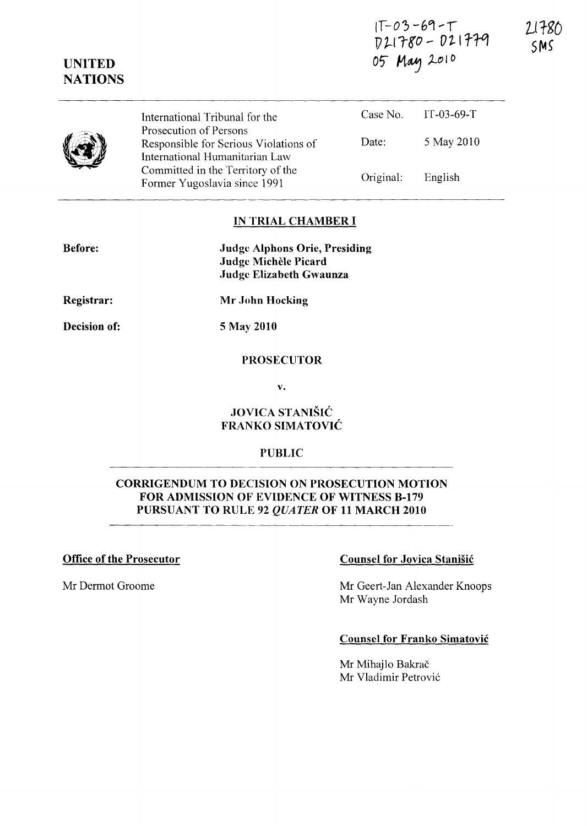IT-o, *-€lot ....* **T**  *V*21780 - 021779<br>05 May 2010 21780  $SMS$ 

|  | International Tribunal for the<br>Prosecution of Persons                |           | Case No. $IT-03-69-T$ |
|--|-------------------------------------------------------------------------|-----------|-----------------------|
|  | Responsible for Serious Violations of<br>International Humanitarian Law | Date:     | 5 May 2010            |
|  | Committed in the Territory of the<br>Former Yugoslavia since 1991       | Original: | English               |

### **IN TRIAL CHAMBER I**

| <b>Judge Alphons Orie, Presiding</b> |  |
|--------------------------------------|--|
| Judge Michèle Picard                 |  |
| Judge Elizabeth Gwaunza              |  |

**Registrar:** 

**Before:** 

**UNITED NATIONS** 

**Mr John Hocking** 

**Decision of:** 

**5 May 2010** 

### **PROSECUTOR**

**v.** 

# **JOVICA STANI5UC FRANKO SIMATOVIC**

### **PUBLIC**

# **CORRIGENDUM TO DECISION ON PROSECUTION MOTION FOR ADMISSION OF EVIDENCE OF WITNESS B-179 PURSUANT TO RULE 92** *QUATER* **OF 11 MARCH 2010**

#### **Office of the Prosecutor**

Mr Dermot Groome

#### **Counsel for Jovica Stanisic**

Mr Geert-Jan Alexander Knoops Mr Wayne Jordash

## **Counsel for Franko Simatovic**

Mr Mihajlo Bakrač Mr Vladimir Petrovic